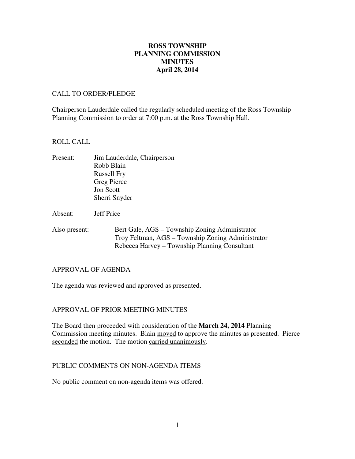# **April 28, 2014 ROSS TOWNSHIP PLANNING COMMISSION MINUTES**

## CALL TO ORDER/PLEDGE

 Chairperson Lauderdale called the regularly scheduled meeting of the Ross Township Planning Commission to order at 7:00 p.m. at the Ross Township Hall.

### ROLL CALL

- Present: Jim Lauderdale, Chairperson Robb Blain Russell Fry Greg Pierce Jon Scott Sherri Snyder
- Absent: Jeff Price
- Also present: Bert Gale, AGS – Township Zoning Administrator Troy Feltman, AGS – Township Zoning Administrator Rebecca Harvey – Township Planning Consultant

### APPROVAL OF AGENDA

The agenda was reviewed and approved as presented.

# APPROVAL OF PRIOR MEETING MINUTES

 The Board then proceeded with consideration of the **March 24, 2014** Planning Commission meeting minutes. Blain moved to approve the minutes as presented. Pierce seconded the motion. The motion carried unanimously.

## PUBLIC COMMENTS ON NON-AGENDA ITEMS

No public comment on non-agenda items was offered.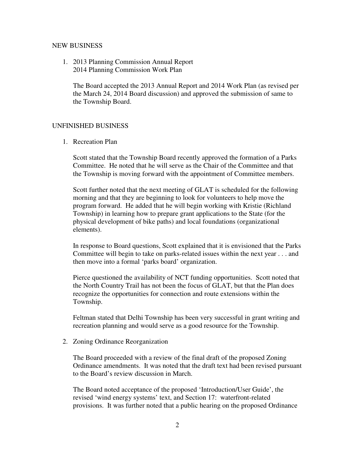# NEW BUSINESS

 1. 2013 Planning Commission Annual Report 2014 Planning Commission Work Plan

 The Board accepted the 2013 Annual Report and 2014 Work Plan (as revised per the March 24, 2014 Board discussion) and approved the submission of same to the Township Board.

# UNFINISHED BUSINESS

1. Recreation Plan

 Scott stated that the Township Board recently approved the formation of a Parks Committee. He noted that he will serve as the Chair of the Committee and that the Township is moving forward with the appointment of Committee members.

 Scott further noted that the next meeting of GLAT is scheduled for the following morning and that they are beginning to look for volunteers to help move the program forward. He added that he will begin working with Kristie (Richland Township) in learning how to prepare grant applications to the State (for the physical development of bike paths) and local foundations (organizational elements).

 In response to Board questions, Scott explained that it is envisioned that the Parks Committee will begin to take on parks-related issues within the next year . . . and then move into a formal 'parks board' organization.

 Pierce questioned the availability of NCT funding opportunities. Scott noted that the North Country Trail has not been the focus of GLAT, but that the Plan does recognize the opportunities for connection and route extensions within the Township.

 Feltman stated that Delhi Township has been very successful in grant writing and recreation planning and would serve as a good resource for the Township.

2. Zoning Ordinance Reorganization

 The Board proceeded with a review of the final draft of the proposed Zoning Ordinance amendments. It was noted that the draft text had been revised pursuant to the Board's review discussion in March.

 The Board noted acceptance of the proposed 'Introduction/User Guide', the revised 'wind energy systems' text, and Section 17: waterfront-related provisions. It was further noted that a public hearing on the proposed Ordinance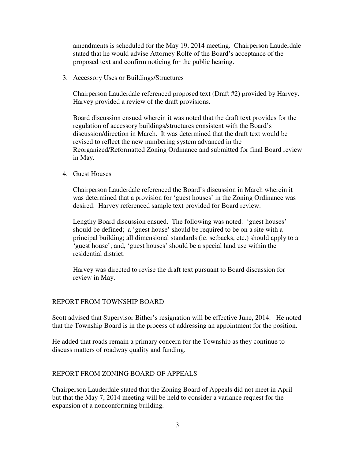amendments is scheduled for the May 19, 2014 meeting. Chairperson Lauderdale stated that he would advise Attorney Rolfe of the Board's acceptance of the proposed text and confirm noticing for the public hearing.

3. Accessory Uses or Buildings/Structures

 Chairperson Lauderdale referenced proposed text (Draft #2) provided by Harvey. Harvey provided a review of the draft provisions.

 Board discussion ensued wherein it was noted that the draft text provides for the regulation of accessory buildings/structures consistent with the Board's discussion/direction in March. It was determined that the draft text would be revised to reflect the new numbering system advanced in the Reorganized/Reformatted Zoning Ordinance and submitted for final Board review in May.

4. Guest Houses

 Chairperson Lauderdale referenced the Board's discussion in March wherein it was determined that a provision for 'guest houses' in the Zoning Ordinance was desired. Harvey referenced sample text provided for Board review.

 Lengthy Board discussion ensued. The following was noted: 'guest houses' should be defined; a 'guest house' should be required to be on a site with a principal building; all dimensional standards (ie. setbacks, etc.) should apply to a 'guest house'; and, 'guest houses' should be a special land use within the residential district.

 Harvey was directed to revise the draft text pursuant to Board discussion for review in May.

# REPORT FROM TOWNSHIP BOARD

 Scott advised that Supervisor Bither's resignation will be effective June, 2014. He noted that the Township Board is in the process of addressing an appointment for the position.

 He added that roads remain a primary concern for the Township as they continue to discuss matters of roadway quality and funding.

# REPORT FROM ZONING BOARD OF APPEALS

 Chairperson Lauderdale stated that the Zoning Board of Appeals did not meet in April but that the May 7, 2014 meeting will be held to consider a variance request for the expansion of a nonconforming building.